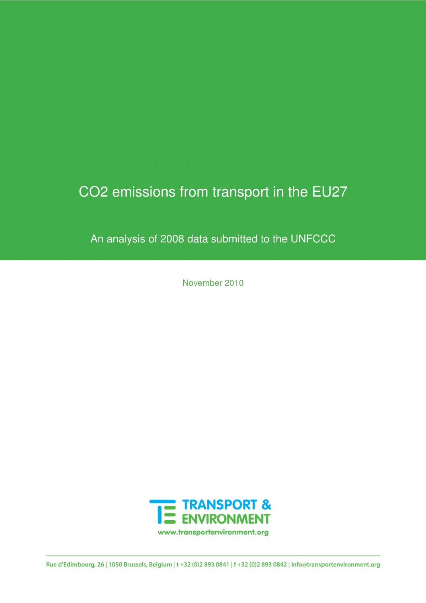# CO2 emissions from transport in the EU27

An analysis of 2008 data submitted to the UNFCCC

November 2010



Rue d'Edimbourg, 26 | 1050 Brussels, Belgium | t +32 (0)2 893 0841 | f +32 (0)2 893 0842 | info@transportenvironment.org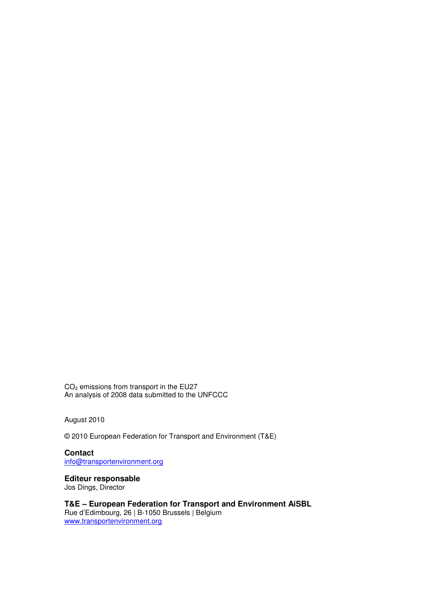CO2 emissions from transport in the EU27 An analysis of 2008 data submitted to the UNFCCC

August 2010

© 2010 European Federation for Transport and Environment (T&E)

**Contact**  info@transportenvironment.org

**Editeur responsable** 

Jos Dings, Director

**T&E – European Federation for Transport and Environment AiSBL**  Rue d'Edimbourg, 26 | B-1050 Brussels | Belgium www.transportenvironment.org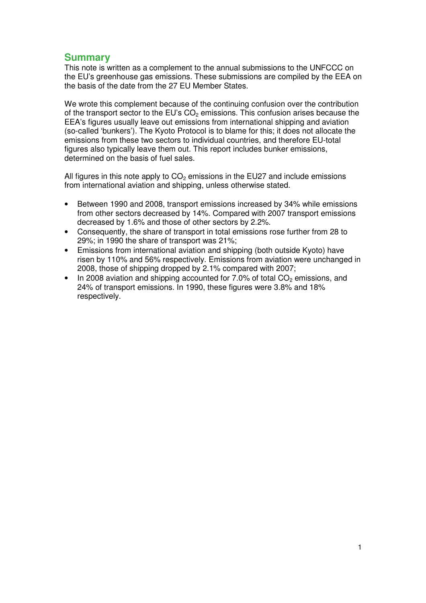#### **Summary**

This note is written as a complement to the annual submissions to the UNFCCC on the EU's greenhouse gas emissions. These submissions are compiled by the EEA on the basis of the date from the 27 EU Member States.

We wrote this complement because of the continuing confusion over the contribution of the transport sector to the EU's  $CO<sub>2</sub>$  emissions. This confusion arises because the EEA's figures usually leave out emissions from international shipping and aviation (so-called 'bunkers'). The Kyoto Protocol is to blame for this; it does not allocate the emissions from these two sectors to individual countries, and therefore EU-total figures also typically leave them out. This report includes bunker emissions, determined on the basis of fuel sales.

All figures in this note apply to  $CO<sub>2</sub>$  emissions in the EU27 and include emissions from international aviation and shipping, unless otherwise stated.

- Between 1990 and 2008, transport emissions increased by 34% while emissions from other sectors decreased by 14%. Compared with 2007 transport emissions decreased by 1.6% and those of other sectors by 2.2%.
- Consequently, the share of transport in total emissions rose further from 28 to 29%; in 1990 the share of transport was 21%;
- Emissions from international aviation and shipping (both outside Kyoto) have risen by 110% and 56% respectively. Emissions from aviation were unchanged in 2008, those of shipping dropped by 2.1% compared with 2007;
- In 2008 aviation and shipping accounted for  $7.0\%$  of total  $CO<sub>2</sub>$  emissions, and 24% of transport emissions. In 1990, these figures were 3.8% and 18% respectively.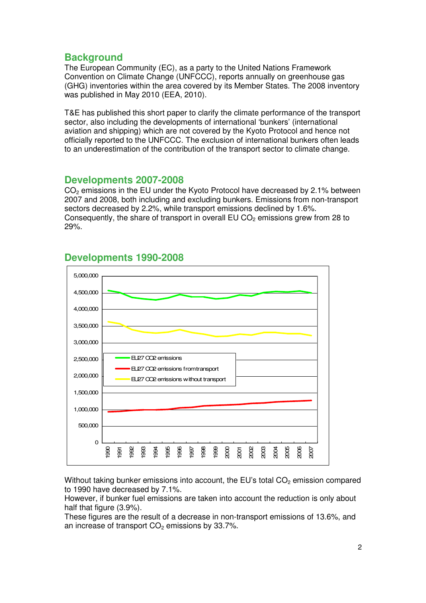## **Background**

The European Community (EC), as a party to the United Nations Framework Convention on Climate Change (UNFCCC), reports annually on greenhouse gas (GHG) inventories within the area covered by its Member States. The 2008 inventory was published in May 2010 (EEA, 2010).

T&E has published this short paper to clarify the climate performance of the transport sector, also including the developments of international 'bunkers' (international aviation and shipping) which are not covered by the Kyoto Protocol and hence not officially reported to the UNFCCC. The exclusion of international bunkers often leads to an underestimation of the contribution of the transport sector to climate change.

#### **Developments 2007-2008**

 $CO<sub>2</sub>$  emissions in the EU under the Kyoto Protocol have decreased by 2.1% between 2007 and 2008, both including and excluding bunkers. Emissions from non-transport sectors decreased by 2.2%, while transport emissions declined by 1.6%. Consequently, the share of transport in overall EU  $CO<sub>2</sub>$  emissions grew from 28 to 29%.



# **Developments 1990-2008**

Without taking bunker emissions into account, the EU's total  $CO<sub>2</sub>$  emission compared to 1990 have decreased by 7.1%.

However, if bunker fuel emissions are taken into account the reduction is only about half that figure (3.9%).

These figures are the result of a decrease in non-transport emissions of 13.6%, and an increase of transport  $CO<sub>2</sub>$  emissions by 33.7%.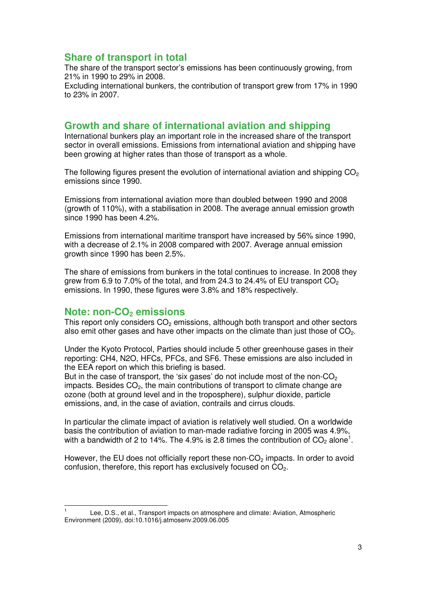## **Share of transport in total**

The share of the transport sector's emissions has been continuously growing, from 21% in 1990 to 29% in 2008.

Excluding international bunkers, the contribution of transport grew from 17% in 1990 to 23% in 2007.

#### **Growth and share of international aviation and shipping**

International bunkers play an important role in the increased share of the transport sector in overall emissions. Emissions from international aviation and shipping have been growing at higher rates than those of transport as a whole.

The following figures present the evolution of international aviation and shipping  $CO<sub>2</sub>$ emissions since 1990.

Emissions from international aviation more than doubled between 1990 and 2008 (growth of 110%), with a stabilisation in 2008. The average annual emission growth since 1990 has been 4.2%.

Emissions from international maritime transport have increased by 56% since 1990, with a decrease of 2.1% in 2008 compared with 2007. Average annual emission growth since 1990 has been 2.5%.

The share of emissions from bunkers in the total continues to increase. In 2008 they grew from 6.9 to 7.0% of the total, and from 24.3 to 24.4% of EU transport  $CO<sub>2</sub>$ emissions. In 1990, these figures were 3.8% and 18% respectively.

#### **Note: non-CO2 emissions**

This report only considers  $CO<sub>2</sub>$  emissions, although both transport and other sectors also emit other gases and have other impacts on the climate than just those of  $CO<sub>2</sub>$ .

Under the Kyoto Protocol, Parties should include 5 other greenhouse gases in their reporting: CH4, N2O, HFCs, PFCs, and SF6. These emissions are also included in the EEA report on which this briefing is based.

But in the case of transport, the 'six gases' do not include most of the non- $CO<sub>2</sub>$ impacts. Besides  $CO<sub>2</sub>$ , the main contributions of transport to climate change are ozone (both at ground level and in the troposphere), sulphur dioxide, particle emissions, and, in the case of aviation, contrails and cirrus clouds.

In particular the climate impact of aviation is relatively well studied. On a worldwide basis the contribution of aviation to man-made radiative forcing in 2005 was 4.9%, with a bandwidth of 2 to 14%. The 4.9% is 2.8 times the contribution of  $CO<sub>2</sub>$  alone<sup>1</sup>.

However, the EU does not officially report these non- $CO<sub>2</sub>$  impacts. In order to avoid confusion, therefore, this report has exclusively focused on CO<sub>2</sub>.

 $\overline{a}$ <sup>1</sup>Lee, D.S., et al., Transport impacts on atmosphere and climate: Aviation, Atmospheric Environment (2009), doi:10.1016/j.atmosenv.2009.06.005